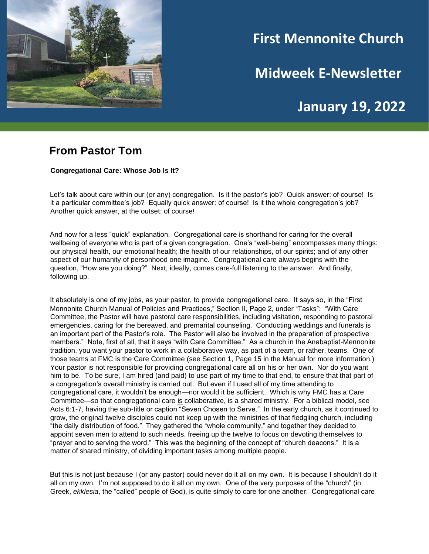

# **First Mennonite Church**

**Midweek E-Newsletter**

**January 19, 2022**

#### **From Pastor Tom**

**Congregational Care: Whose Job Is It?**

Let's talk about care within our (or any) congregation. Is it the pastor's job? Quick answer: of course! Is it a particular committee's job? Equally quick answer: of course! Is it the whole congregation's job? Another quick answer, at the outset: of course!

And now for a less "quick" explanation. Congregational care is shorthand for caring for the overall wellbeing of everyone who is part of a given congregation. One's "well-being" encompasses many things: our physical health, our emotional health; the health of our relationships, of our spirits; and of any other aspect of our humanity of personhood one imagine. Congregational care always begins with the question, "How are you doing?" Next, ideally, comes care-full listening to the answer. And finally, following up.

It absolutely is one of my jobs, as your pastor, to provide congregational care. It says so, in the "First Mennonite Church Manual of Policies and Practices," Section II, Page 2, under "Tasks": "With Care Committee, the Pastor will have pastoral care responsibilities, including visitation, responding to pastoral emergencies, caring for the bereaved, and premarital counseling. Conducting weddings and funerals is an important part of the Pastor's role. The Pastor will also be involved in the preparation of prospective members." Note, first of all, that it says "with Care Committee." As a church in the Anabaptist-Mennonite tradition, you want your pastor to work in a collaborative way, as part of a team, or rather, teams. One of those teams at FMC is the Care Committee (see Section 1, Page 15 in the Manual for more information.) Your pastor is not responsible for providing congregational care all on his or her own. Nor do you want him to be. To be sure, I am hired (and paid) to use part of my time to that end, to ensure that that part of a congregation's overall ministry is carried out. But even if I used all of my time attending to congregational care, it wouldn't be enough—nor would it be sufficient. Which is why FMC has a Care Committee—so that congregational care is collaborative, is a shared ministry. For a biblical model, see Acts 6:1-7, having the sub-title or caption "Seven Chosen to Serve." In the early church, as it continued to grow, the original twelve disciples could not keep up with the ministries of that fledgling church, including "the daily distribution of food." They gathered the "whole community," and together they decided to appoint seven men to attend to such needs, freeing up the twelve to focus on devoting themselves to "prayer and to serving the word." This was the beginning of the concept of "church deacons." It is a matter of shared ministry, of dividing important tasks among multiple people.

But this is not just because I (or any pastor) could never do it all on my own. It is because I shouldn't do it all on my own. I'm not supposed to do it all on my own. One of the very purposes of the "church" (in Greek, *ekklesia*, the "called" people of God), is quite simply to care for one another. Congregational care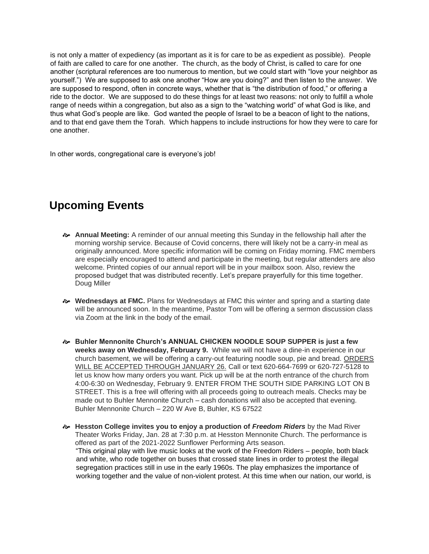is not only a matter of expediency (as important as it is for care to be as expedient as possible). People of faith are called to care for one another. The church, as the body of Christ, is called to care for one another (scriptural references are too numerous to mention, but we could start with "love your neighbor as yourself.") We are supposed to ask one another "How are you doing?" and then listen to the answer. We are supposed to respond, often in concrete ways, whether that is "the distribution of food," or offering a ride to the doctor. We are supposed to do these things for at least two reasons: not only to fulfill a whole range of needs within a congregation, but also as a sign to the "watching world" of what God is like, and thus what God's people are like. God wanted the people of Israel to be a beacon of light to the nations, and to that end gave them the Torah. Which happens to include instructions for how they were to care for one another.

In other words, congregational care is everyone's job!

# **Upcoming Events**

- **Annual Meeting:** A reminder of our annual meeting this Sunday in the fellowship hall after the morning worship service. Because of Covid concerns, there will likely not be a carry-in meal as originally announced. More specific information will be coming on Friday morning. FMC members are especially encouraged to attend and participate in the meeting, but regular attenders are also welcome. Printed copies of our annual report will be in your mailbox soon. Also, review the proposed budget that was distributed recently. Let's prepare prayerfully for this time together. Doug Miller
- **Wednesdays at FMC.** Plans for Wednesdays at FMC this winter and spring and a starting date will be announced soon. In the meantime, Pastor Tom will be offering a sermon discussion class via Zoom at the link in the body of the email.
- **Buhler Mennonite Church's ANNUAL CHICKEN NOODLE SOUP SUPPER is just a few weeks away on Wednesday, February 9.** While we will not have a dine-in experience in our church basement, we will be offering a carry-out featuring noodle soup, pie and bread. ORDERS WILL BE ACCEPTED THROUGH JANUARY 26. Call or text 620-664-7699 or 620-727-5128 to let us know how many orders you want. Pick up will be at the north entrance of the church from 4:00-6:30 on Wednesday, February 9. ENTER FROM THE SOUTH SIDE PARKING LOT ON B STREET. This is a free will offering with all proceeds going to outreach meals. Checks may be made out to Buhler Mennonite Church – cash donations will also be accepted that evening. Buhler Mennonite Church – 220 W Ave B, Buhler, KS 67522
- **Hesston College invites you to enjoy a production of** *Freedom Riders* by the Mad River Theater Works Friday, Jan. 28 at 7:30 p.m. at Hesston Mennonite Church. The performance is offered as part of the 2021-2022 Sunflower Performing Arts season. "This original play with live music looks at the work of the Freedom Riders – people, both black and white, who rode together on buses that crossed state lines in order to protest the illegal segregation practices still in use in the early 1960s. The play emphasizes the importance of working together and the value of non-violent protest. At this time when our nation, our world, is